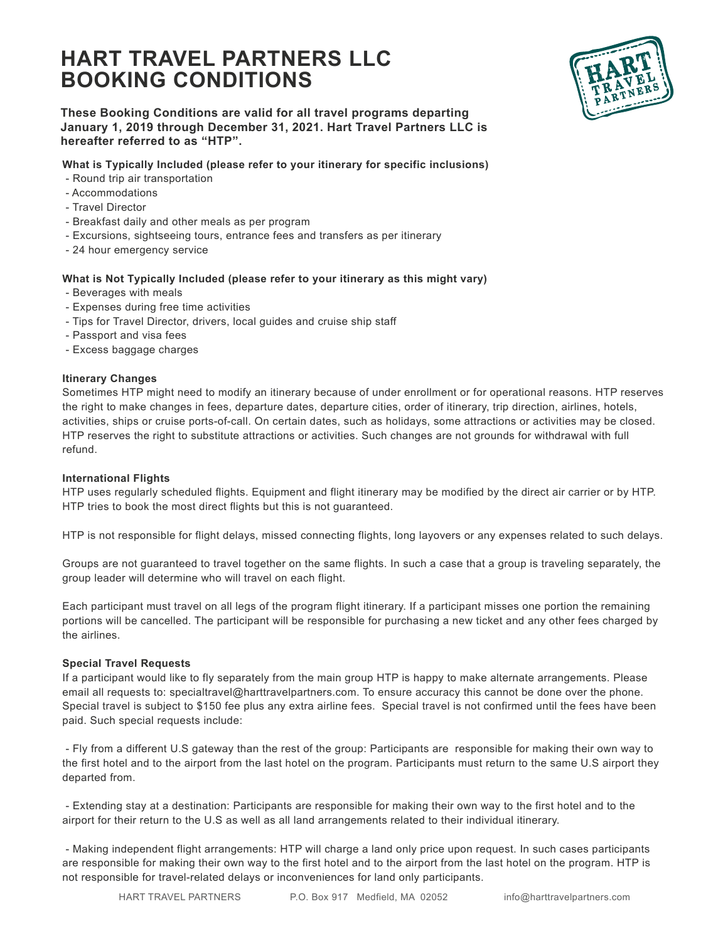# **HART TRAVEL PARTNERS LLC BOOKING CONDITIONS**



**These Booking Conditions are valid for all travel programs departing January 1, 2019 through December 31, 2021. Hart Travel Partners LLC is hereafter referred to as "HTP".** 

## **What is Typically Included (please refer to your itinerary for specific inclusions)**

- Round trip air transportation
- Accommodations
- Travel Director
- Breakfast daily and other meals as per program
- Excursions, sightseeing tours, entrance fees and transfers as per itinerary
- 24 hour emergency service

# **What is Not Typically Included (please refer to your itinerary as this might vary)**

- Beverages with meals
- Expenses during free time activities
- Tips for Travel Director, drivers, local guides and cruise ship staff
- Passport and visa fees
- Excess baggage charges

# **Itinerary Changes**

Sometimes HTP might need to modify an itinerary because of under enrollment or for operational reasons. HTP reserves the right to make changes in fees, departure dates, departure cities, order of itinerary, trip direction, airlines, hotels, activities, ships or cruise ports-of-call. On certain dates, such as holidays, some attractions or activities may be closed. HTP reserves the right to substitute attractions or activities. Such changes are not grounds for withdrawal with full refund.

## **International Flights**

HTP uses regularly scheduled flights. Equipment and flight itinerary may be modified by the direct air carrier or by HTP. HTP tries to book the most direct flights but this is not guaranteed.

HTP is not responsible for flight delays, missed connecting flights, long layovers or any expenses related to such delays.

Groups are not guaranteed to travel together on the same flights. In such a case that a group is traveling separately, the group leader will determine who will travel on each flight.

Each participant must travel on all legs of the program flight itinerary. If a participant misses one portion the remaining portions will be cancelled. The participant will be responsible for purchasing a new ticket and any other fees charged by the airlines.

## **Special Travel Requests**

If a participant would like to fly separately from the main group HTP is happy to make alternate arrangements. Please email all requests to: specialtravel@harttravelpartners.com. To ensure accuracy this cannot be done over the phone. Special travel is subject to \$150 fee plus any extra airline fees. Special travel is not confirmed until the fees have been paid. Such special requests include:

 - Fly from a different U.S gateway than the rest of the group: Participants are responsible for making their own way to the first hotel and to the airport from the last hotel on the program. Participants must return to the same U.S airport they departed from.

 - Extending stay at a destination: Participants are responsible for making their own way to the first hotel and to the airport for their return to the U.S as well as all land arrangements related to their individual itinerary.

 - Making independent flight arrangements: HTP will charge a land only price upon request. In such cases participants are responsible for making their own way to the first hotel and to the airport from the last hotel on the program. HTP is not responsible for travel-related delays or inconveniences for land only participants.